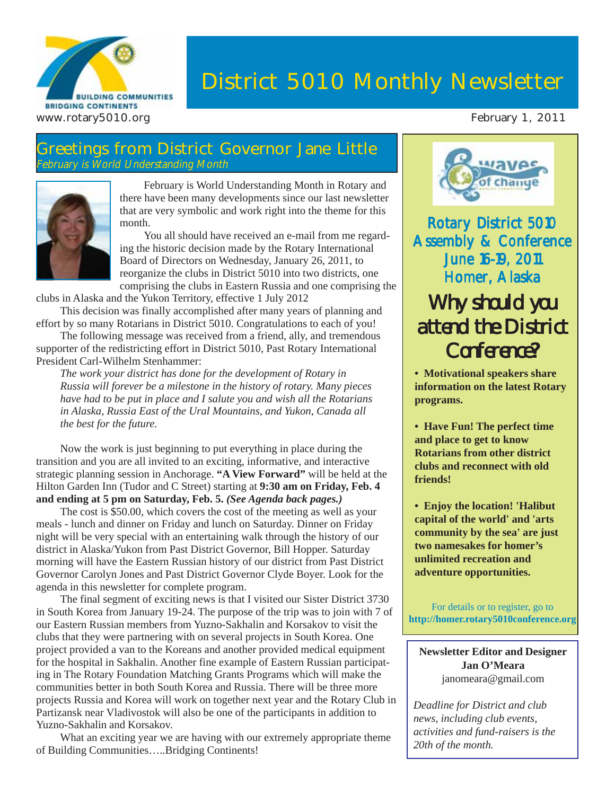

## **District 5010 Monthly Newsletter**

#### **Greetings from District Governor Jane Little** February is World Understanding Month



February is World Understanding Month in Rotary and there have been many developments since our last newsletter that are very symbolic and work right into the theme for this month.

You all should have received an e-mail from me regarding the historic decision made by the Rotary International Board of Directors on Wednesday, January 26, 2011, to reorganize the clubs in District 5010 into two districts, one comprising the clubs in Eastern Russia and one comprising the

clubs in Alaska and the Yukon Territory, effective 1 July 2012

This decision was finally accomplished after many years of planning and effort by so many Rotarians in District 5010. Congratulations to each of you!

The following message was received from a friend, ally, and tremendous supporter of the redistricting effort in District 5010, Past Rotary International President Carl-Wilhelm Stenhammer:

*The work your district has done for the development of Rotary in Russia will forever be a milestone in the history of rotary. Many pieces have had to be put in place and I salute you and wish all the Rotarians in Alaska, Russia East of the Ural Mountains, and Yukon, Canada all the best for the future.*

Now the work is just beginning to put everything in place during the transition and you are all invited to an exciting, informative, and interactive strategic planning session in Anchorage. **"A View Forward"** will be held at the Hilton Garden Inn (Tudor and C Street) starting at **9:30 am on Friday, Feb. 4 and ending at 5 pm on Saturday, Feb. 5.** *(See Agenda back pages.)*

The cost is \$50.00, which covers the cost of the meeting as well as your meals - lunch and dinner on Friday and lunch on Saturday. Dinner on Friday night will be very special with an entertaining walk through the history of our district in Alaska/Yukon from Past District Governor, Bill Hopper. Saturday morning will have the Eastern Russian history of our district from Past District Governor Carolyn Jones and Past District Governor Clyde Boyer. Look for the agenda in this newsletter for complete program.

The final segment of exciting news is that I visited our Sister District 3730 in South Korea from January 19-24. The purpose of the trip was to join with 7 of our Eastern Russian members from Yuzno-Sakhalin and Korsakov to visit the clubs that they were partnering with on several projects in South Korea. One project provided a van to the Koreans and another provided medical equipment for the hospital in Sakhalin. Another fine example of Eastern Russian participating in The Rotary Foundation Matching Grants Programs which will make the communities better in both South Korea and Russia. There will be three more projects Russia and Korea will work on together next year and the Rotary Club in Partizansk near Vladivostok will also be one of the participants in addition to Yuzno-Sakhalin and Korsakov.

What an exciting year we are having with our extremely appropriate theme of Building Communities…..Bridging Continents!



Rotary District 5010 **Assembly & Conference June 16-19, 2011** Homer, Alaska

## Why should you attend the District Conference?

**• Motivational speakers share information on the latest Rotary programs.**

**• Have Fun! The perfect time and place to get to know Rotarians from other district clubs and reconnect with old friends!**

**• Enjoy the location! 'Halibut capital of the world' and 'arts community by the sea' are just two namesakes for homer's unlimited recreation and adventure opportunities.**

For details or to register, go to **http://homer.rotary5010conference.org**

**Newsletter Editor and Designer Jan O'Meara** janomeara@gmail.com

*Deadline for District and club news, including club events, activities and fund-raisers is the 20th of the month.*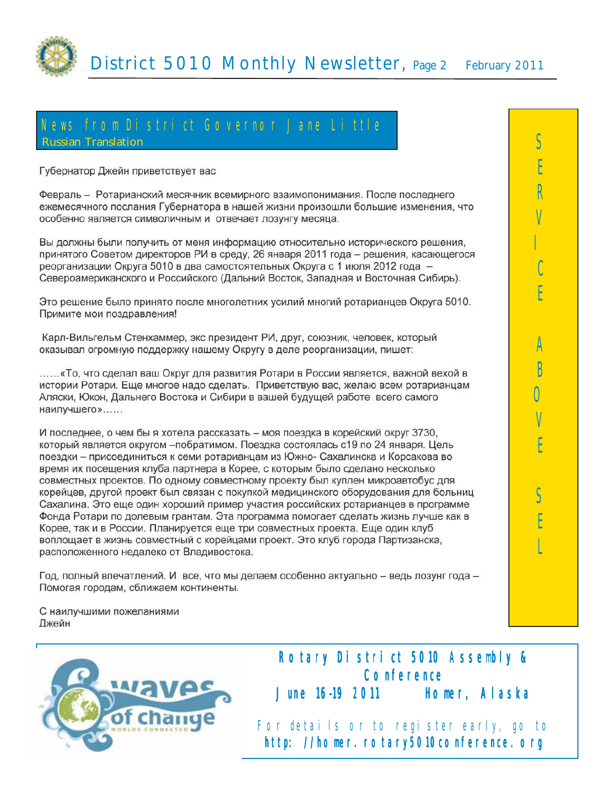

## News fromDistrict Governor Jane Little **Russian Translation**

Губернатор Джейн приветствует вас

Февраль - Ротарианский месячник всемирного взаимопонимания. После последнего ежемесячного послания Губернатора в нашей жизни произошли большие изменения, что особенно является символичным и отвечает лозунгу месяца.

Вы должны были получить от меня информацию относительно исторического решения, принятого Советом директоров РИ в среду, 26 января 2011 года - решения, касающегося реорганизации Округа 5010 в два самостоятельных Округа с 1 июля 2012 года -Североамериканского и Российского (Дальний Восток, Западная и Восточная Сибирь).

Это решение было принято после многолетних усилий многий ротарианцев Округа 5010. Примите мои поздравления!

Карл-Вильгельм Стенхаммер, экс президент РИ, друг, союзник, человек, который оказывал огромную поддержку нашему Округу в деле реорганизации, пишет:

......«То, что сделал ваш Округ для развития Ротари в России является, важной вехой в истории Ротари. Еще многое надо сделать. Приветствую вас, желаю всем ротарианцам Аляски, Юкон, Дальнего Востока и Сибири в вашей будущей работе всего самого наилучшего»......

И последнее, о чем бы я хотела рассказать - моя поездка в корейский округ 3730, который является округом - побратимом. Поездка состоялась с19 по 24 января. Цель поездки – присоединиться к семи ротарианцам из Южно- Сахалинска и Корсакова во время их посещения клуба партнера в Корее, с которым было сделано несколько совместных проектов. По одному совместному проекту был куплен микроавтобус для корейцев, другой проект был связан с покупкой медицинского оборудования для больниц Сахалина. Это еще один хороший пример участия российских ротарианцев в программе Фонда Ротари по долевым грантам. Эта программа помогает сделать жизнь лучше как в Корее, так и в России. Планируется еще три совместных проекта. Еще один клуб воплощает в жизнь совместный с корейцами проект. Это клуб города Партизанска, расположенного недалеко от Владивостока.

Год, полный впечатлений. И все, что мы делаем особенно актуально - ведь лозунг года -Помогая городам, сближаем континенты.

С наилучшими пожеланиями Джейн



June 1619 2011 **Homer, Alaska** For details or to register early, go to http://homer.rotary5010conference.org

Rotary District 5010 Assembly & **Conference**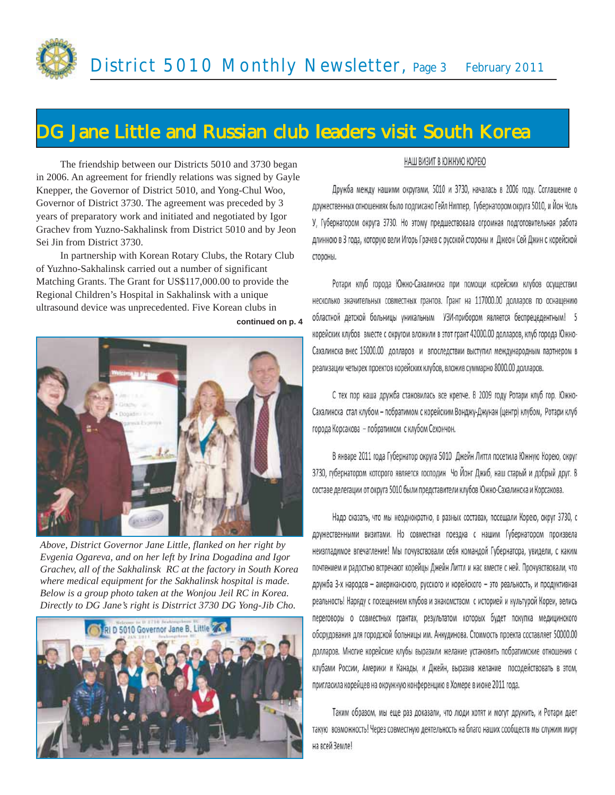

## **DG Jane Little and Russian club leaders visit South Korea**

**continued on p. 4**

The friendship between our Districts 5010 and 3730 began in 2006. An agreement for friendly relations was signed by Gayle Knepper, the Governor of District 5010, and Yong-Chul Woo, Governor of District 3730. The agreement was preceded by 3 years of preparatory work and initiated and negotiated by Igor Grachev from Yuzno-Sakhalinsk from District 5010 and by Jeon Sei Jin from District 3730.

In partnership with Korean Rotary Clubs, the Rotary Club of Yuzhno-Sakhalinsk carried out a number of significant Matching Grants. The Grant for US\$117,000.00 to provide the Regional Children's Hospital in Sakhalinsk with a unique ultrasound device was unprecedented. Five Korean clubs in



*Above, District Governor Jane Little, flanked on her right by Evgenia Ogareva, and on her left by Irina Dogadina and Igor Grachev, all of the Sakhalinsk RC at the factory in South Korea where medical equipment for the Sakhalinsk hospital is made. Below is a group photo taken at the Wonjou Jeil RC in Korea. Directly to DG Jane's right is Distrrict 3730 DG Yong-Jib Cho.*



#### НАШ ВИЗИТ В ЮЖНУЮ КОРЕЮ

Дружба между нашими округами, 5010 и 3730, началась в 2006 году. Соглашение о дружественных отношениях было подписано Гейл Ниппер. Губернатором округа 5010, и Йон Чоль У, Губернатором округа 3730. Но этому предшествовала огромная подготовительная работа длинною в 3 года, которую вели Игорь Грачев с русской стороны и Джеон Сей Джин с корейской стороны.

Ротари клуб города Южно-Сахалинска при помощи корейских клубов осуществил несколько значительных совместных грантов. Грант на 117000.00 долларов по оснащению областной детской больницы уникальным УЗИ-прибором является беспрецедентным! 5 корейских клубов вместе с округом вложили в этот грант 42000.00 долларов, клуб города Южно-Сахалинска внес 15000.00 долларов и впоследствии выступил международным партнером в реализации четырех проектов корейских клубов, вложив суммарно 8000.00 долларов.

С тех пор наша дружба становилась все крепче. В 2009 году Ротари клуб гор. Южно-Сахалинска стал клубом - побратимом с корейским Вонджу-Джунан (центр) клубом, Ротари клуб города Корсакова - побратимом с клубом Сехончон.

В январе 2011 года Губернатор округа 5010 Джейн Литтл посетила Южную Корею, округ 3730, губернатором которого является господин Чо Йонг Джиб, наш старый и добрый друг. В составе делегации от округа 5010 были представители клубов Южно-Сахалинска и Корсакова.

Надо сказать, что мы неоднократно, в разных составах, посещали Корею, округ 3730, с дружественными визитами. Но совместная поездка с нашим Губернатором произвела неизгладимое впечатление! Мы почувствовали себя командой Губернатора, увидели, с каким почтением и радостью встречают корейцы Джейн Литтл и нас вместе с ней. Прочувствовали, что дружба 3-х народов - американского, русского и корейского - это реальность, и продуктивная реальность! Наряду с посещением клубов и знакомством с историей и культурой Кореи, велись переговоры о совместных грантах, результатом которых будет покупка медицинского оборудования для городской больницы им. Анкудинова. Стоимость проекта составляет 50000.00 долларов. Многие корейские клубы выразили желание установить побратимские отношения с клубами России, Америки и Канады, и Джейн, выразив желание посодействовать в этом, пригласила корейцев на окружную конференцию в Хомере в июне 2011 года.

Таким образом, мы еще раз доказали, что люди хотят и могут дружить, и Ротари дает такую возможность! Через совместную деятельность на благо наших сообществ мы служим миру на всей Земле!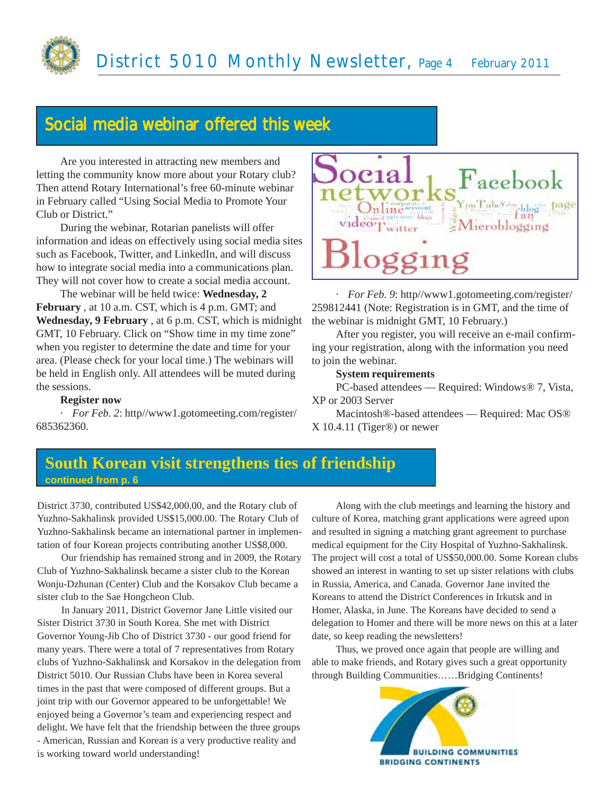

## Social media webinar offered this week

Are you interested in attracting new members and letting the community know more about your Rotary club? Then attend Rotary International's free 60-minute webinar in February called "Using Social Media to Promote Your Club or District."

During the webinar, Rotarian panelists will offer information and ideas on effectively using social media sites such as Facebook, Twitter, and LinkedIn, and will discuss how to integrate social media into a communications plan. They will not cover how to create a social media account.

The webinar will be held twice: **Wednesday, 2 February** , at 10 a.m. CST, which is 4 p.m. GMT; and **Wednesday, 9 February** , at 6 p.m. CST, which is midnight GMT, 10 February. Click on "Show time in my time zone" when you register to determine the date and time for your area. (Please check for your local time.) The webinars will be held in English only. All attendees will be muted during the sessions.

#### **Register now**

· *For Feb. 2*: http//www1.gotomeeting.com/register/ 685362360.



· *For Feb. 9*: http//www1.gotomeeting.com/register/ 259812441 (Note: Registration is in GMT, and the time of the webinar is midnight GMT, 10 February.)

After you register, you will receive an e-mail confirming your registration, along with the information you need to join the webinar.

#### **System requirements**

PC-based attendees — Required: Windows® 7, Vista, XP or 2003 Server

Macintosh®-based attendees — Required: Mac OS® X 10.4.11 (Tiger®) or newer

#### **continued from p. 6 South Korean visit strengthens ties of friendship**

District 3730, contributed US\$42,000.00, and the Rotary club of Yuzhno-Sakhalinsk provided US\$15,000.00. The Rotary Club of Yuzhno-Sakhalinsk became an international partner in implementation of four Korean projects contributing another US\$8,000.

Our friendship has remained strong and in 2009, the Rotary Club of Yuzhno-Sakhalinsk became a sister club to the Korean Wonju-Dzhunan (Center) Club and the Korsakov Club became a sister club to the Sae Hongcheon Club.

In January 2011, District Governor Jane Little visited our Sister District 3730 in South Korea. She met with District Governor Young-Jib Cho of District 3730 - our good friend for many years. There were a total of 7 representatives from Rotary clubs of Yuzhno-Sakhalinsk and Korsakov in the delegation from District 5010. Our Russian Clubs have been in Korea several times in the past that were composed of different groups. But a joint trip with our Governor appeared to be unforgettable! We enjoyed being a Governor's team and experiencing respect and delight. We have felt that the friendship between the three groups - American, Russian and Korean is a very productive reality and is working toward world understanding!

Along with the club meetings and learning the history and culture of Korea, matching grant applications were agreed upon and resulted in signing a matching grant agreement to purchase medical equipment for the City Hospital of Yuzhno-Sakhalinsk. The project will cost a total of US\$50,000.00. Some Korean clubs showed an interest in wanting to set up sister relations with clubs in Russia, America, and Canada. Governor Jane invited the Koreans to attend the District Conferences in Irkutsk and in Homer, Alaska, in June. The Koreans have decided to send a delegation to Homer and there will be more news on this at a later date, so keep reading the newsletters!

Thus, we proved once again that people are willing and able to make friends, and Rotary gives such a great opportunity through Building Communities……Bridging Continents!

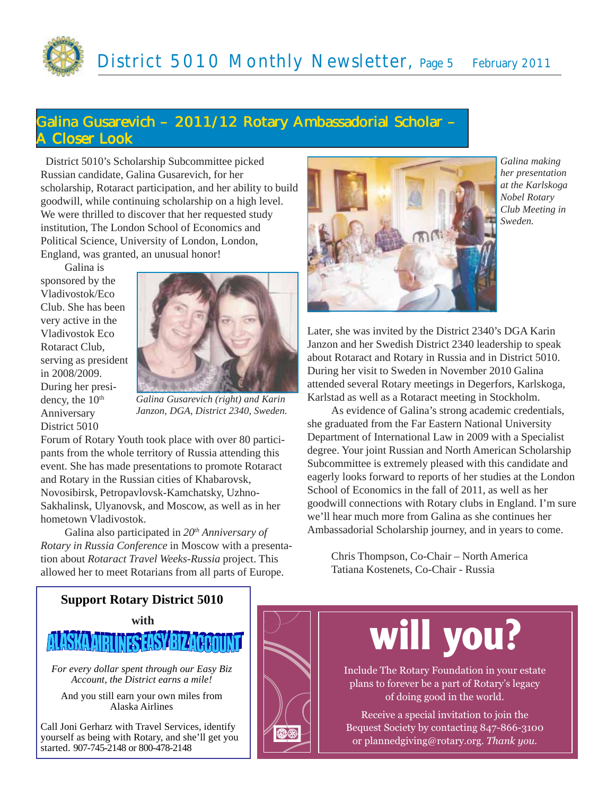## **Galina Gusarevich – 2011/12 Rotary Ambassadorial Scholar – A Closer Look**

 District 5010's Scholarship Subcommittee picked Russian candidate, Galina Gusarevich, for her scholarship, Rotaract participation, and her ability to build goodwill, while continuing scholarship on a high level. We were thrilled to discover that her requested study institution, The London School of Economics and Political Science, University of London, London, England, was granted, an unusual honor!

Galina is sponsored by the Vladivostok/Eco Club. She has been very active in the Vladivostok Eco Rotaract Club, serving as president in 2008/2009. During her presidency, the 10<sup>th</sup> Anniversary District 5010

*Galina Gusarevich (right) and Karin Janzon, DGA, District 2340, Sweden.*

Forum of Rotary Youth took place with over 80 participants from the whole territory of Russia attending this event. She has made presentations to promote Rotaract and Rotary in the Russian cities of Khabarovsk, Novosibirsk, Petropavlovsk-Kamchatsky, Uzhno-Sakhalinsk, Ulyanovsk, and Moscow, as well as in her hometown Vladivostok.

Galina also participated in *20th Anniversary of Rotary in Russia Conference* in Moscow with a presentation about *Rotaract Travel Weeks-Russia* project. This allowed her to meet Rotarians from all parts of Europe.



*Galina making her presentation at the Karlskoga Nobel Rotary Club Meeting in Sweden.*

Later, she was invited by the District 2340's DGA Karin Janzon and her Swedish District 2340 leadership to speak about Rotaract and Rotary in Russia and in District 5010. During her visit to Sweden in November 2010 Galina attended several Rotary meetings in Degerfors, Karlskoga, Karlstad as well as a Rotaract meeting in Stockholm.

As evidence of Galina's strong academic credentials, she graduated from the Far Eastern National University Department of International Law in 2009 with a Specialist degree. Your joint Russian and North American Scholarship Subcommittee is extremely pleased with this candidate and eagerly looks forward to reports of her studies at the London School of Economics in the fall of 2011, as well as her goodwill connections with Rotary clubs in England. I'm sure we'll hear much more from Galina as she continues her Ambassadorial Scholarship journey, and in years to come.

Chris Thompson, Co-Chair – North America Tatiana Kostenets, Co-Chair - Russia

#### **Support Rotary District 5010**





*For every dollar spent through our Easy Biz Account, the District earns a mile!*

And you still earn your own miles from Alaska Airlines

Call Joni Gerharz with Travel Services, identify yourself as being with Rotary, and she'll get you started. 907-745-2148 or 800-478-2148



# **will you?**

Include The Rotary Foundation in your estate plans to forever be a part of Rotary's legacy of doing good in the world.

Receive a special invitation to join the Bequest Society by contacting 847-866-3100 or plannedgiving@rotary.org. *Thank you.*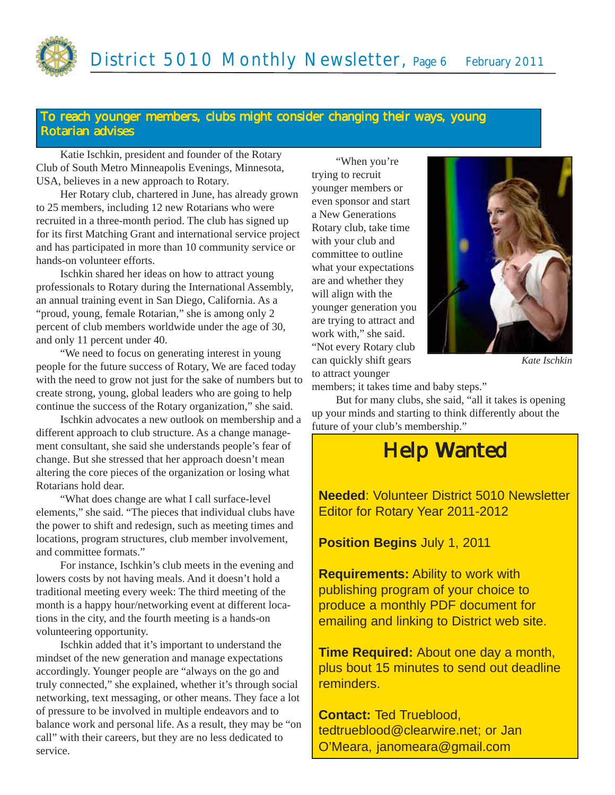#### **To reach younger members, clubs might consider changing their ways, young Rotarian advises**

Katie Ischkin, president and founder of the Rotary Club of South Metro Minneapolis Evenings, Minnesota, USA, believes in a new approach to Rotary.

Her Rotary club, chartered in June, has already grown to 25 members, including 12 new Rotarians who were recruited in a three-month period. The club has signed up for its first Matching Grant and international service project and has participated in more than 10 community service or hands-on volunteer efforts.

Ischkin shared her ideas on how to attract young professionals to Rotary during the International Assembly, an annual training event in San Diego, California. As a "proud, young, female Rotarian," she is among only 2 percent of club members worldwide under the age of 30, and only 11 percent under 40.

"We need to focus on generating interest in young people for the future success of Rotary, We are faced today with the need to grow not just for the sake of numbers but to create strong, young, global leaders who are going to help continue the success of the Rotary organization," she said.

Ischkin advocates a new outlook on membership and a different approach to club structure. As a change management consultant, she said she understands people's fear of change. But she stressed that her approach doesn't mean altering the core pieces of the organization or losing what Rotarians hold dear.

"What does change are what I call surface-level elements," she said. "The pieces that individual clubs have the power to shift and redesign, such as meeting times and locations, program structures, club member involvement, and committee formats."

For instance, Ischkin's club meets in the evening and lowers costs by not having meals. And it doesn't hold a traditional meeting every week: The third meeting of the month is a happy hour/networking event at different locations in the city, and the fourth meeting is a hands-on volunteering opportunity.

Ischkin added that it's important to understand the mindset of the new generation and manage expectations accordingly. Younger people are "always on the go and truly connected," she explained, whether it's through social networking, text messaging, or other means. They face a lot of pressure to be involved in multiple endeavors and to balance work and personal life. As a result, they may be "on call" with their careers, but they are no less dedicated to service.

"When you're trying to recruit younger members or even sponsor and start a New Generations Rotary club, take time with your club and committee to outline what your expectations are and whether they will align with the younger generation you are trying to attract and work with," she said. "Not every Rotary club can quickly shift gears to attract younger



*Kate Ischkin*

members; it takes time and baby steps."

But for many clubs, she said, "all it takes is opening up your minds and starting to think differently about the future of your club's membership."

## **Help Wanted Help Wanted**

**Needed**: Volunteer District 5010 Newsletter Editor for Rotary Year 2011-2012

**Position Begins** July 1, 2011

**Requirements:** Ability to work with publishing program of your choice to produce a monthly PDF document for emailing and linking to District web site.

**Time Required:** About one day a month, plus bout 15 minutes to send out deadline reminders.

**Contact:** Ted Trueblood, tedtrueblood@clearwire.net; or Jan O'Meara, janomeara@gmail.com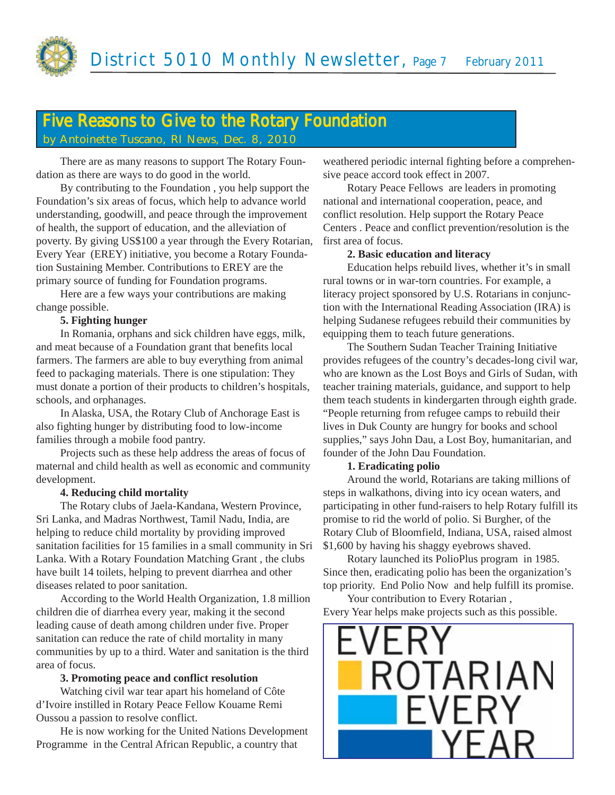

### Five Reasons to Give to the Rotary Foundation **by Antoinette Tuscano, RI News, Dec. 8, 2010**

There are as many reasons to support The Rotary Foundation as there are ways to do good in the world.

By contributing to the Foundation , you help support the Foundation's six areas of focus, which help to advance world understanding, goodwill, and peace through the improvement of health, the support of education, and the alleviation of poverty. By giving US\$100 a year through the Every Rotarian, Every Year (EREY) initiative, you become a Rotary Foundation Sustaining Member. Contributions to EREY are the primary source of funding for Foundation programs.

Here are a few ways your contributions are making change possible.

#### **5. Fighting hunger**

In Romania, orphans and sick children have eggs, milk, and meat because of a Foundation grant that benefits local farmers. The farmers are able to buy everything from animal feed to packaging materials. There is one stipulation: They must donate a portion of their products to children's hospitals, schools, and orphanages.

In Alaska, USA, the Rotary Club of Anchorage East is also fighting hunger by distributing food to low-income families through a mobile food pantry.

Projects such as these help address the areas of focus of maternal and child health as well as economic and community development.

#### **4. Reducing child mortality**

The Rotary clubs of Jaela-Kandana, Western Province, Sri Lanka, and Madras Northwest, Tamil Nadu, India, are helping to reduce child mortality by providing improved sanitation facilities for 15 families in a small community in Sri Lanka. With a Rotary Foundation Matching Grant , the clubs have built 14 toilets, helping to prevent diarrhea and other diseases related to poor sanitation.

According to the World Health Organization, 1.8 million children die of diarrhea every year, making it the second leading cause of death among children under five. Proper sanitation can reduce the rate of child mortality in many communities by up to a third. Water and sanitation is the third area of focus.

#### **3. Promoting peace and conflict resolution**

Watching civil war tear apart his homeland of Côte d'Ivoire instilled in Rotary Peace Fellow Kouame Remi Oussou a passion to resolve conflict.

He is now working for the United Nations Development Programme in the Central African Republic, a country that

weathered periodic internal fighting before a comprehensive peace accord took effect in 2007.

Rotary Peace Fellows are leaders in promoting national and international cooperation, peace, and conflict resolution. Help support the Rotary Peace Centers . Peace and conflict prevention/resolution is the first area of focus.

#### **2. Basic education and literacy**

Education helps rebuild lives, whether it's in small rural towns or in war-torn countries. For example, a literacy project sponsored by U.S. Rotarians in conjunction with the International Reading Association (IRA) is helping Sudanese refugees rebuild their communities by equipping them to teach future generations.

The Southern Sudan Teacher Training Initiative provides refugees of the country's decades-long civil war, who are known as the Lost Boys and Girls of Sudan, with teacher training materials, guidance, and support to help them teach students in kindergarten through eighth grade. "People returning from refugee camps to rebuild their lives in Duk County are hungry for books and school supplies," says John Dau, a Lost Boy, humanitarian, and founder of the John Dau Foundation.

#### **1. Eradicating polio**

Around the world, Rotarians are taking millions of steps in walkathons, diving into icy ocean waters, and participating in other fund-raisers to help Rotary fulfill its promise to rid the world of polio. Si Burgher, of the Rotary Club of Bloomfield, Indiana, USA, raised almost \$1,600 by having his shaggy eyebrows shaved.

Rotary launched its PolioPlus program in 1985. Since then, eradicating polio has been the organization's top priority. End Polio Now and help fulfill its promise.

Your contribution to Every Rotarian, Every Year helps make projects such as this possible.

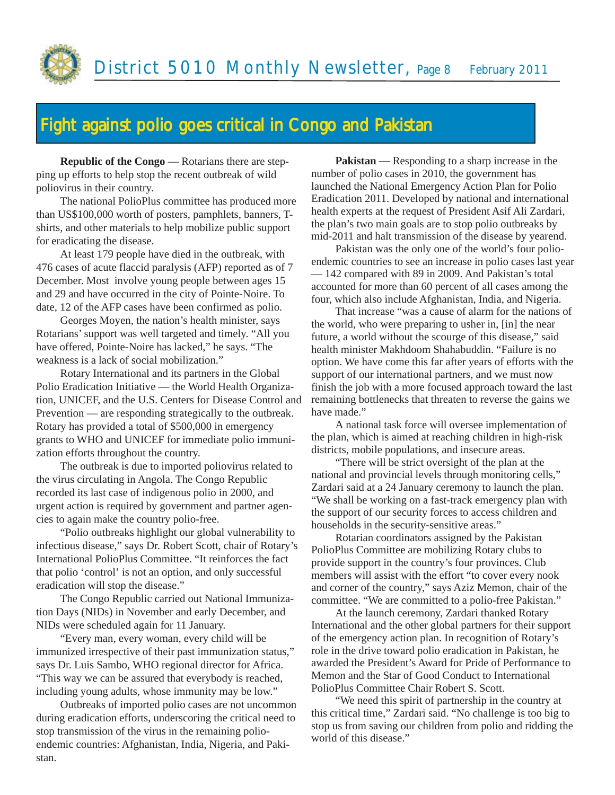

## Fight against polio goes critical in Congo and Pakistan

**Republic of the Congo — Rotarians there are step**ping up efforts to help stop the recent outbreak of wild poliovirus in their country.

The national PolioPlus committee has produced more than US\$100,000 worth of posters, pamphlets, banners, Tshirts, and other materials to help mobilize public support for eradicating the disease.

At least 179 people have died in the outbreak, with 476 cases of acute flaccid paralysis (AFP) reported as of 7 December. Most involve young people between ages 15 and 29 and have occurred in the city of Pointe-Noire. To date, 12 of the AFP cases have been confirmed as polio.

Georges Moyen, the nation's health minister, says Rotarians' support was well targeted and timely. "All you have offered, Pointe-Noire has lacked," he says. "The weakness is a lack of social mobilization."

Rotary International and its partners in the Global Polio Eradication Initiative — the World Health Organization, UNICEF, and the U.S. Centers for Disease Control and Prevention — are responding strategically to the outbreak. Rotary has provided a total of \$500,000 in emergency grants to WHO and UNICEF for immediate polio immunization efforts throughout the country.

The outbreak is due to imported poliovirus related to the virus circulating in Angola. The Congo Republic recorded its last case of indigenous polio in 2000, and urgent action is required by government and partner agencies to again make the country polio-free.

"Polio outbreaks highlight our global vulnerability to infectious disease," says Dr. Robert Scott, chair of Rotary's International PolioPlus Committee. "It reinforces the fact that polio 'control' is not an option, and only successful eradication will stop the disease."

The Congo Republic carried out National Immunization Days (NIDs) in November and early December, and NIDs were scheduled again for 11 January.

"Every man, every woman, every child will be immunized irrespective of their past immunization status," says Dr. Luis Sambo, WHO regional director for Africa. "This way we can be assured that everybody is reached, including young adults, whose immunity may be low."

Outbreaks of imported polio cases are not uncommon during eradication efforts, underscoring the critical need to stop transmission of the virus in the remaining polioendemic countries: Afghanistan, India, Nigeria, and Pakistan.

**Pakistan —** Responding to a sharp increase in the number of polio cases in 2010, the government has launched the National Emergency Action Plan for Polio Eradication 2011. Developed by national and international health experts at the request of President Asif Ali Zardari, the plan's two main goals are to stop polio outbreaks by mid-2011 and halt transmission of the disease by yearend.

Pakistan was the only one of the world's four polioendemic countries to see an increase in polio cases last year — 142 compared with 89 in 2009. And Pakistan's total accounted for more than 60 percent of all cases among the four, which also include Afghanistan, India, and Nigeria.

That increase "was a cause of alarm for the nations of the world, who were preparing to usher in, [in] the near future, a world without the scourge of this disease," said health minister Makhdoom Shahabuddin. "Failure is no option. We have come this far after years of efforts with the support of our international partners, and we must now finish the job with a more focused approach toward the last remaining bottlenecks that threaten to reverse the gains we have made."

A national task force will oversee implementation of the plan, which is aimed at reaching children in high-risk districts, mobile populations, and insecure areas.

"There will be strict oversight of the plan at the national and provincial levels through monitoring cells," Zardari said at a 24 January ceremony to launch the plan. "We shall be working on a fast-track emergency plan with the support of our security forces to access children and households in the security-sensitive areas."

Rotarian coordinators assigned by the Pakistan PolioPlus Committee are mobilizing Rotary clubs to provide support in the country's four provinces. Club members will assist with the effort "to cover every nook and corner of the country," says Aziz Memon, chair of the committee. "We are committed to a polio-free Pakistan."

At the launch ceremony, Zardari thanked Rotary International and the other global partners for their support of the emergency action plan. In recognition of Rotary's role in the drive toward polio eradication in Pakistan, he awarded the President's Award for Pride of Performance to Memon and the Star of Good Conduct to International PolioPlus Committee Chair Robert S. Scott.

"We need this spirit of partnership in the country at this critical time," Zardari said. "No challenge is too big to stop us from saving our children from polio and ridding the world of this disease."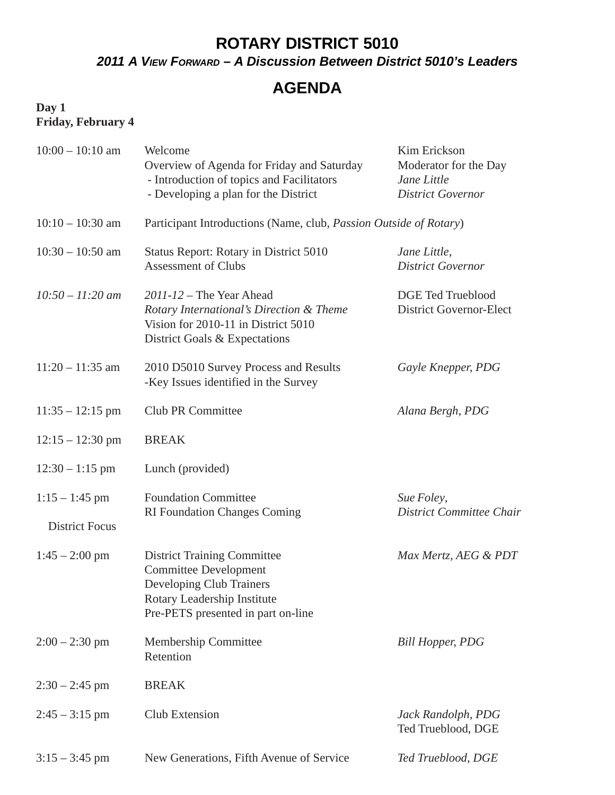## **ROTARY DISTRICT 5010**

*2011 A VIEW FORWARD – A Discussion Between District 5010's Leaders*

## **AGENDA**

#### **Day 1 Friday, February 4**

| $10:00 - 10:10$ am                        | Welcome<br>Overview of Agenda for Friday and Saturday<br>- Introduction of topics and Facilitators<br>- Developing a plan for the District                          | Kim Erickson<br>Moderator for the Day<br>Jane Little<br><b>District Governor</b> |  |
|-------------------------------------------|---------------------------------------------------------------------------------------------------------------------------------------------------------------------|----------------------------------------------------------------------------------|--|
| $10:10 - 10:30$ am                        | Participant Introductions (Name, club, Passion Outside of Rotary)                                                                                                   |                                                                                  |  |
| $10:30 - 10:50$ am                        | Status Report: Rotary in District 5010<br><b>Assessment of Clubs</b>                                                                                                | Jane Little,<br><b>District Governor</b>                                         |  |
| $10:50 - 11:20$ am                        | $2011 - 12$ – The Year Ahead<br>Rotary International's Direction & Theme<br>Vision for 2010-11 in District 5010<br>District Goals & Expectations                    | <b>DGE Ted Trueblood</b><br><b>District Governor-Elect</b>                       |  |
| $11:20 - 11:35$ am                        | 2010 D5010 Survey Process and Results<br>-Key Issues identified in the Survey                                                                                       | Gayle Knepper, PDG                                                               |  |
| $11:35 - 12:15$ pm                        | Club PR Committee                                                                                                                                                   | Alana Bergh, PDG                                                                 |  |
| $12:15 - 12:30$ pm                        | <b>BREAK</b>                                                                                                                                                        |                                                                                  |  |
| $12:30 - 1:15$ pm                         | Lunch (provided)                                                                                                                                                    |                                                                                  |  |
| $1:15 - 1:45$ pm<br><b>District Focus</b> | <b>Foundation Committee</b><br><b>RI Foundation Changes Coming</b>                                                                                                  | Sue Foley,<br>District Committee Chair                                           |  |
| $1:45 - 2:00$ pm                          | <b>District Training Committee</b><br><b>Committee Development</b><br>Developing Club Trainers<br>Rotary Leadership Institute<br>Pre-PETS presented in part on-line | Max Mertz, AEG & PDT                                                             |  |
| $2:00 - 2:30$ pm                          | Membership Committee<br>Retention                                                                                                                                   | <b>Bill Hopper, PDG</b>                                                          |  |
| $2:30 - 2:45$ pm                          | <b>BREAK</b>                                                                                                                                                        |                                                                                  |  |
| $2:45 - 3:15$ pm                          | <b>Club Extension</b>                                                                                                                                               | Jack Randolph, PDG<br>Ted Trueblood, DGE                                         |  |
| $3:15 - 3:45$ pm                          | New Generations, Fifth Avenue of Service                                                                                                                            | Ted Trueblood, DGE                                                               |  |